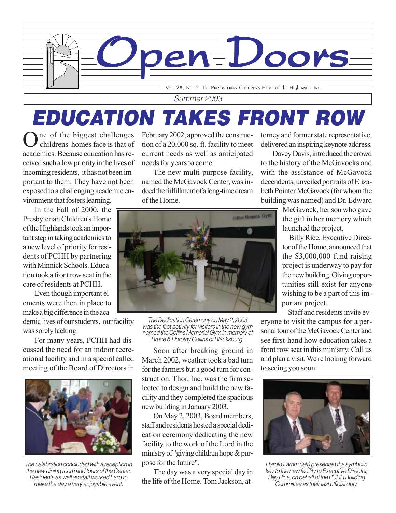

Vol. 28, No. 2 The Presbyterian Children's Home of the Highlands, Inc.

Summer 2003

# EDUCATION TAKES FRONT ROW

One of the biggest challenges childrens' homes face is that of academics. Because education has received such a low priority in the lives of incoming residents, it has not been important to them. They have not been exposed to a challenging academic environment that fosters learning.

In the Fall of 2000, the Presbyterian Children's Home of the Highlands took an important step in taking academics to a new level of priority for residents of PCHH by partnering with Minnick Schools. Education took a front row seat in the care of residents at PCHH.

Even though important elements were then in place to make a big difference in the aca-

demic lives of our students, our facility was sorely lacking.

For many years, PCHH had discussed the need for an indoor recreational facility and in a special called meeting of the Board of Directors in



The celebration concluded with a reception in the new dining room and tours of the Center. Residents as well as staff worked hard to make the day a very enjoyable event.

February 2002, approved the construction of a 20,000 sq. ft. facility to meet current needs as well as anticipated needs for years to come.

The new multi-purpose facility, named the McGavock Center, was indeed the fulfillment of a long-time dream of the Home.

torney and former state representative, delivered an inspiring keynote address.

Davey Davis, introduced the crowd to the history of the McGavocks and with the assistance of McGavock decendents, unveiled portraits of Elizabeth Pointer McGavock (for whom the building was named) and Dr. Edward

> McGavock, her son who gave the gift in her memory which launched the project.

 Billy Rice, Executive Director of the Home, announced that the \$3,000,000 fund-raising project is underway to pay for the new building. Giving opportunities still exist for anyone wishing to be a part of this important project.

 Staff and residents invite everyone to visit the campus for a personal tour of the McGavock Center and see first-hand how education takes a front row seat in this ministry. Call us and plan a visit. We're looking forward to seeing you soon.



Harold Lamm (left) presented the symbolic key to the new facility to Executive Director, Billy Rice, on behalf of the PCHH Building Committee as their last official duty.



The Dedication Ceremony on May 2, 2003 was the first activity for visitors in the new gym named the Collins Memorial Gym in memory of Bruce & Dorothy Collins of Blacksburg.

Soon after breaking ground in March 2002, weather took a bad turn for the farmers but a good turn for construction. Thor, Inc. was the firm selected to design and build the new facility and they completed the spacious new building in January 2003.

On May 2, 2003, Board members, staff and residents hosted a special dedication ceremony dedicating the new facility to the work of the Lord in the ministry of "giving children hope & purpose for the future".

The day was a very special day in the life of the Home. Tom Jackson, at-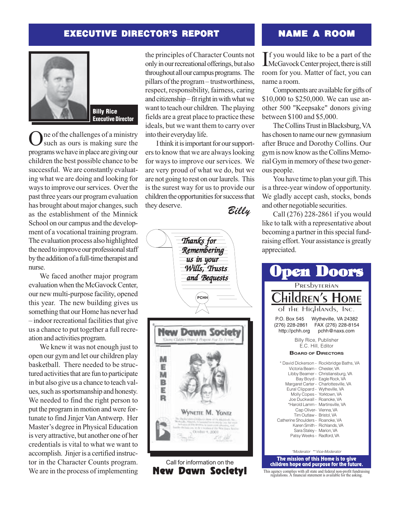## EXECUTIVE DIRECTOR'S REPORT



**Billy Rice Executive Director** Executive Director

One of the challenges of a ministry<br>Such as ours is making sure the programs we have in place are giving our children the best possible chance to be successful. We are constantly evaluating what we are doing and looking for ways to improve our services. Over the past three years our program evaluation has brought about major changes, such as the establishment of the Minnick School on our campus and the development of a vocational training program. The evaluation process also highlighted the need to improve our professional staff by the addition of a full-time therapist and nurse.

We faced another major program evaluation when the McGavock Center, our new multi-purpose facility, opened this year. The new building gives us something that our Home has never had – indoor recreational facilities that give us a chance to put together a full recreation and activities program.

We knew it was not enough just to open our gym and let our children play basketball. There needed to be structured activities that are fun to participate in but also give us a chance to teach values, such as sportsmanship and honesty. We needed to find the right person to put the program in motion and were fortunate to find Jinjer Van Antwerp. Her Master's degree in Physical Education is very attractive, but another one of her credentials is vital to what we want to accomplish. Jinjer is a certified instructor in the Character Counts program. We are in the process of implementing

the principles of Character Counts not only in our recreational offerings, but also throughout all our campus programs. The pillars of the program – trustworthiness, respect, responsibility, fairness, caring and citizenship – fit right in with what we want to teach our children. The playing fields are a great place to practice these ideals, but we want them to carry over into their everyday life.

Billy I think it is important for our supporters to know that we are always looking for ways to improve our services. We are very proud of what we do, but we are not going to rest on our laurels. This is the surest way for us to provide our children the opportunities for success that they deserve.



# NAME A ROOM

If you would like to be a part of the<br>McGavock Center project, there is still  $\mathbf T f$  you would like to be a part of the room for you. Matter of fact, you can name a room.

Components are available for gifts of \$10,000 to \$250,000. We can use another 500 "Keepsake" donors giving between \$100 and \$5,000.

The Collins Trust in Blacksburg, VA has chosen to name our new gymnasium after Bruce and Dorothy Collins. Our gym is now know as the Collins Memorial Gym in memory of these two generous people.

You have time to plan your gift. This is a three-year window of opportunity. We gladly accept cash, stocks, bonds and other negotiable securities.

Call (276) 228-2861 if you would like to talk with a representative about becoming a partner in this special fundraising effort. Your assistance is greatly appreciated.



This agency complies with all state and federal non-profit fundraising regulations. A financial statement is available for the asking.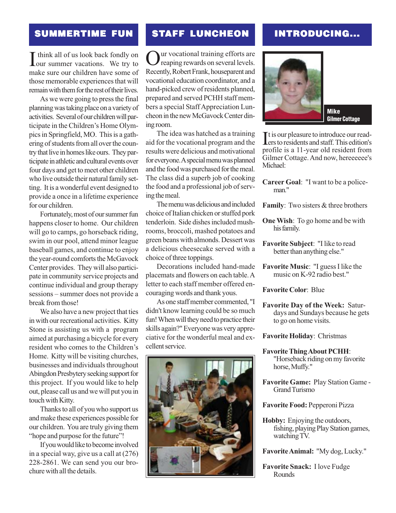I think all of us look back fondly on<br>
our summer vacations. We try to think all of us look back fondly on make sure our children have some of those memorable experiences that will remain with them for the rest of their lives.

As we were going to press the final planning was taking place on a variety of activities. Several of our children will participate in the Children's Home Olympics in Springfield, MO. This is a gathering of students from all over the country that live in homes like ours. They participate in athletic and cultural events over four days and get to meet other children who live outside their natural family setting. It is a wonderful event designed to provide a once in a lifetime experience for our children.

Fortunately, most of our summer fun happens closer to home. Our children will go to camps, go horseback riding, swim in our pool, attend minor league baseball games, and continue to enjoy the year-round comforts the McGavock Center provides. They will also participate in community service projects and continue individual and group therapy sessions – summer does not provide a break from those!

We also have a new project that ties in with our recreational activities. Kitty Stone is assisting us with a program aimed at purchasing a bicycle for every resident who comes to the Children's Home. Kitty will be visiting churches, businesses and individuals throughout Abingdon Presbytery seeking support for this project. If you would like to help out, please call us and we will put you in touch with Kitty.

Thanks to all of you who support us and make these experiences possible for our children. You are truly giving them "hope and purpose for the future"!

If you would like to become involved in a special way, give us a call at (276) 228-2861. We can send you our brochure with all the details.

### SUMMERTIME FUN STAFF LUNCHEON INTRODUCING... STAFF LUNCHEON

Our vocational training efforts are<br>reaping rewards on several levels. Recently, Robert Frank, houseparent and vocational education coordinator, and a hand-picked crew of residents planned, prepared and served PCHH staff members a special Staff Appreciation Luncheon in the new McGavock Center dining room.

The idea was hatched as a training aid for the vocational program and the results were delicious and motivational for everyone. A special menu was planned and the food was purchased for the meal. The class did a superb job of cooking the food and a professional job of serving the meal.

The menu was delicious and included choice of Italian chicken or stuffed pork tenderloin. Side dishes included mushrooms, broccoli, mashed potatoes and green beans with almonds. Dessert was a delicious cheesecake served with a choice of three toppings.

Decorations included hand-made placemats and flowers on each table. A letter to each staff member offered encouraging words and thank yous.

As one staff member commented, "I didn't know learning could be so much fun! When will they need to practice their skills again?" Everyone was very appreciative for the wonderful meal and excellent service.





### **Mike Gilmer Cottage** Gilmer Cottage

It is our pleasure to introduce our read-<br>lers to residents and staff. This edition's **I** t is our pleasure to introduce our readprofile is a 11-year old resident from Gilmer Cottage. And now, hereeeeee's Michael:

- **Career Goal**: "I want to be a policeman."
- **Family**: Two sisters & three brothers
- **One Wish**: To go home and be with his family.
- **Favorite Subject**: "I like to read better than anything else."
- **Favorite Music**: "I guess I like the music on K-92 radio best."
- **Favorite Color**: Blue
- **Favorite Day of the Week:** Saturdays and Sundays because he gets to go on home visits.

### **Favorite Holiday**: Christmas

- **Favorite Thing About PCHH**: "Horseback riding on my favorite horse, Muffy."
- **Favorite Game:** Play Station Game Grand Turismo
- **Favorite Food:** Pepperoni Pizza
- **Hobby:** Enjoying the outdoors, fishing, playing Play Station games, watching TV.

**Favorite Animal:** "My dog, Lucky."

**Favorite Snack:** I love Fudge Rounds